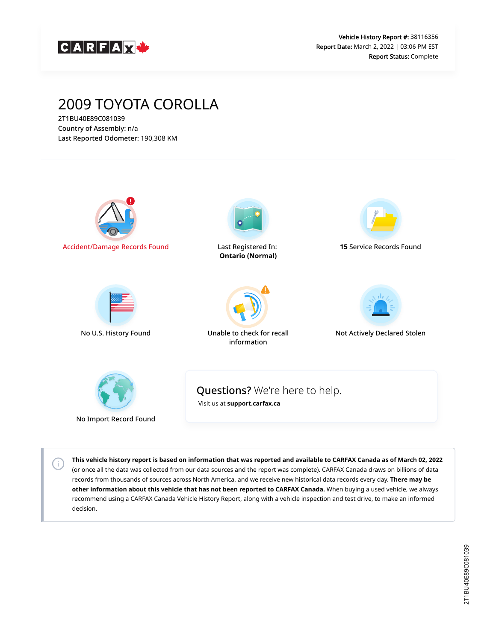

## 2009 TOYOTA COROLLA

2T1BU40E89C081039 Country of Assembly: n/a Last Reported Odometer: 190,308 KM

 $\left(\mathsf{i}\right)$ 



**This vehicle history report is based on information that was reported and available to CARFAX Canada as of March 02, 2022** (or once all the data was collected from our data sources and the report was complete). CARFAX Canada draws on billions of data records from thousands of sources across North America, and we receive new historical data records every day. **There may be other information about this vehicle that has not been reported to CARFAX Canada.** When buying a used vehicle, we always recommend using a CARFAX Canada Vehicle History Report, along with a vehicle inspection and test drive, to make an informed decision.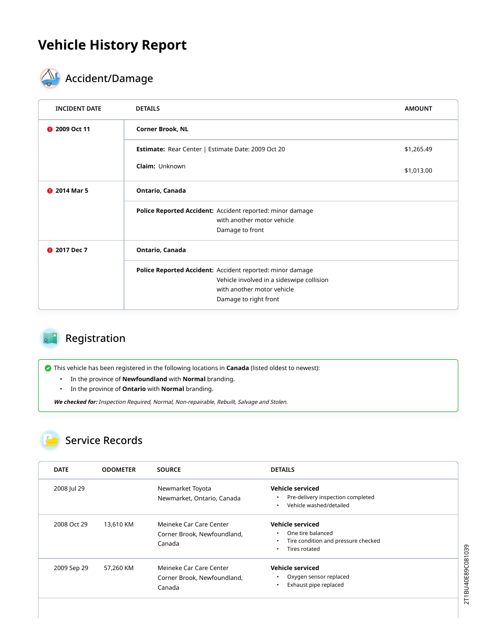## **Vehicle History Report**



# **ACCIDENT** Accident/Damage

| <b>DETAILS</b>                                            | <b>AMOUNT</b> |  |  |
|-----------------------------------------------------------|---------------|--|--|
| <b>Corner Brook, NL</b>                                   |               |  |  |
| Estimate: Rear Center   Estimate Date: 2009 Oct 20        | \$1,265.49    |  |  |
| <b>Claim: Unknown</b>                                     | \$1,013.00    |  |  |
| Ontario, Canada                                           |               |  |  |
| Police Reported Accident: Accident reported: minor damage |               |  |  |
| with another motor vehicle                                |               |  |  |
| Damage to front                                           |               |  |  |
| Ontario, Canada                                           |               |  |  |
| Police Reported Accident: Accident reported: minor damage |               |  |  |
| Vehicle involved in a sideswipe collision                 |               |  |  |
| with another motor vehicle                                |               |  |  |
| Damage to right front                                     |               |  |  |
|                                                           |               |  |  |

#### Registration

This vehicle has been registered in the following locations in **Canada** (listed oldest to newest):

- In the province of **Newfoundland** with **Normal** branding.
- In the province of **Ontario** with **Normal** branding.

**We checked for:** Inspection Required, Normal, Non-repairable, Rebuilt, Salvage and Stolen.

#### Service Records

| <b>DATE</b> | <b>ODOMETER</b> | <b>SOURCE</b>                                                    | <b>DETAILS</b>                                                                                                      |
|-------------|-----------------|------------------------------------------------------------------|---------------------------------------------------------------------------------------------------------------------|
| 2008 Jul 29 |                 | Newmarket Toyota<br>Newmarket, Ontario, Canada                   | <b>Vehicle serviced</b><br>Pre-delivery inspection completed<br>٠<br>Vehicle washed/detailed<br>٠                   |
| 2008 Oct 29 | 13,610 KM       | Meineke Car Care Center<br>Corner Brook, Newfoundland,<br>Canada | <b>Vehicle serviced</b><br>One tire balanced<br>٠<br>Tire condition and pressure checked<br>٠<br>Tires rotated<br>٠ |
| 2009 Sep 29 | 57,260 KM       | Meineke Car Care Center<br>Corner Brook, Newfoundland,<br>Canada | <b>Vehicle serviced</b><br>Oxygen sensor replaced<br>٠<br>Exhaust pipe replaced<br>$\bullet$                        |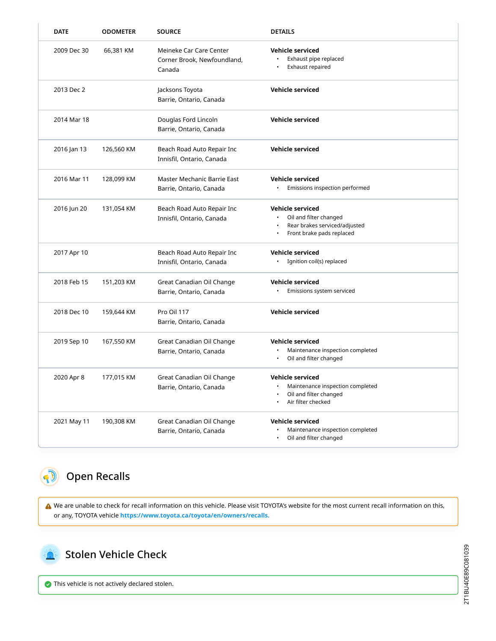| <b>DATE</b> | <b>ODOMETER</b> | <b>SOURCE</b>                                                    | <b>DETAILS</b>                                                                                                  |
|-------------|-----------------|------------------------------------------------------------------|-----------------------------------------------------------------------------------------------------------------|
| 2009 Dec 30 | 66,381 KM       | Meineke Car Care Center<br>Corner Brook, Newfoundland,<br>Canada | Vehicle serviced<br>Exhaust pipe replaced<br>Exhaust repaired                                                   |
| 2013 Dec 2  |                 | Jacksons Toyota<br>Barrie, Ontario, Canada                       | Vehicle serviced                                                                                                |
| 2014 Mar 18 |                 | Douglas Ford Lincoln<br>Barrie, Ontario, Canada                  | <b>Vehicle serviced</b>                                                                                         |
| 2016 Jan 13 | 126,560 KM      | Beach Road Auto Repair Inc<br>Innisfil, Ontario, Canada          | <b>Vehicle serviced</b>                                                                                         |
| 2016 Mar 11 | 128,099 KM      | Master Mechanic Barrie East<br>Barrie, Ontario, Canada           | <b>Vehicle serviced</b><br>Emissions inspection performed                                                       |
| 2016 Jun 20 | 131,054 KM      | Beach Road Auto Repair Inc<br>Innisfil, Ontario, Canada          | <b>Vehicle serviced</b><br>Oil and filter changed<br>Rear brakes serviced/adjusted<br>Front brake pads replaced |
| 2017 Apr 10 |                 | Beach Road Auto Repair Inc<br>Innisfil, Ontario, Canada          | <b>Vehicle serviced</b><br>· Ignition coil(s) replaced                                                          |
| 2018 Feb 15 | 151,203 KM      | Great Canadian Oil Change<br>Barrie, Ontario, Canada             | <b>Vehicle serviced</b><br>Emissions system serviced                                                            |
| 2018 Dec 10 | 159,644 KM      | Pro Oil 117<br>Barrie, Ontario, Canada                           | Vehicle serviced                                                                                                |
| 2019 Sep 10 | 167,550 KM      | Great Canadian Oil Change<br>Barrie, Ontario, Canada             | Vehicle serviced<br>Maintenance inspection completed<br>$\bullet$<br>Oil and filter changed<br>$\bullet$        |
| 2020 Apr 8  | 177,015 KM      | Great Canadian Oil Change<br>Barrie, Ontario, Canada             | <b>Vehicle serviced</b><br>Maintenance inspection completed<br>Oil and filter changed<br>Air filter checked     |
| 2021 May 11 | 190,308 KM      | Great Canadian Oil Change<br>Barrie, Ontario, Canada             | <b>Vehicle serviced</b><br>Maintenance inspection completed<br>Oil and filter changed<br>$\bullet$              |

### Open Recalls

 We are unable to check for recall information on this vehicle. Please visit TOYOTA's website for the most current recall information on this, or any, TOYOTA vehicle **[https://www.toyota.ca/toyota/en/owners/recalls.](https://www.toyota.ca/toyota/en/owners/recalls)**

<span id="page-2-1"></span>

<span id="page-2-0"></span> $\bullet$ 

Stolen Vehicle Check

This vehicle is not actively declared stolen.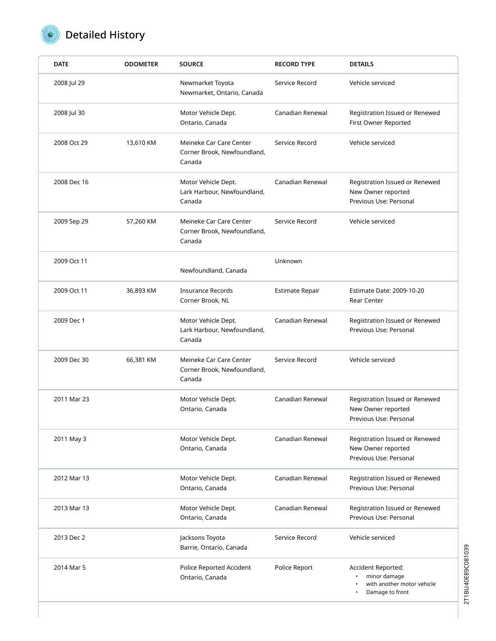

## Detailed History

| <b>DATE</b> | <b>ODOMETER</b> | <b>SOURCE</b>                                                    | <b>RECORD TYPE</b>     | <b>DETAILS</b>                                                                      |
|-------------|-----------------|------------------------------------------------------------------|------------------------|-------------------------------------------------------------------------------------|
| 2008 Jul 29 |                 | Newmarket Toyota<br>Newmarket, Ontario, Canada                   | Service Record         | Vehicle serviced                                                                    |
| 2008 Jul 30 |                 | Motor Vehicle Dept.<br>Ontario, Canada                           | Canadian Renewal       | Registration Issued or Renewed<br>First Owner Reported                              |
| 2008 Oct 29 | 13,610 KM       | Meineke Car Care Center<br>Corner Brook, Newfoundland,<br>Canada | Service Record         | Vehicle serviced                                                                    |
| 2008 Dec 16 |                 | Motor Vehicle Dept.<br>Lark Harbour, Newfoundland,<br>Canada     | Canadian Renewal       | Registration Issued or Renewed<br>New Owner reported<br>Previous Use: Personal      |
| 2009 Sep 29 | 57,260 KM       | Meineke Car Care Center<br>Corner Brook, Newfoundland,<br>Canada | Service Record         | Vehicle serviced                                                                    |
| 2009 Oct 11 |                 | Newfoundland, Canada                                             | Unknown                |                                                                                     |
| 2009 Oct 11 | 36,893 KM       | <b>Insurance Records</b><br>Corner Brook, NL                     | <b>Estimate Repair</b> | Estimate Date: 2009-10-20<br>Rear Center                                            |
| 2009 Dec 1  |                 | Motor Vehicle Dept.<br>Lark Harbour, Newfoundland,<br>Canada     | Canadian Renewal       | Registration Issued or Renewed<br>Previous Use: Personal                            |
| 2009 Dec 30 | 66,381 KM       | Meineke Car Care Center<br>Corner Brook, Newfoundland,<br>Canada | Service Record         | Vehicle serviced                                                                    |
| 2011 Mar 23 |                 | Motor Vehicle Dept.<br>Ontario, Canada                           | Canadian Renewal       | Registration Issued or Renewed<br>New Owner reported<br>Previous Use: Personal      |
| 2011 May 3  |                 | Motor Vehicle Dept.<br>Ontario, Canada                           | Canadian Renewal       | Registration Issued or Renewed<br>New Owner reported<br>Previous Use: Personal      |
| 2012 Mar 13 |                 | Motor Vehicle Dept.<br>Ontario, Canada                           | Canadian Renewal       | Registration Issued or Renewed<br>Previous Use: Personal                            |
| 2013 Mar 13 |                 | Motor Vehicle Dept.<br>Ontario, Canada                           | Canadian Renewal       | Registration Issued or Renewed<br>Previous Use: Personal                            |
| 2013 Dec 2  |                 | Jacksons Toyota<br>Barrie, Ontario, Canada                       | Service Record         | Vehicle serviced                                                                    |
| 2014 Mar 5  |                 | Police Reported Accident<br>Ontario, Canada                      | Police Report          | Accident Reported:<br>minor damage<br>with another motor vehicle<br>Damage to front |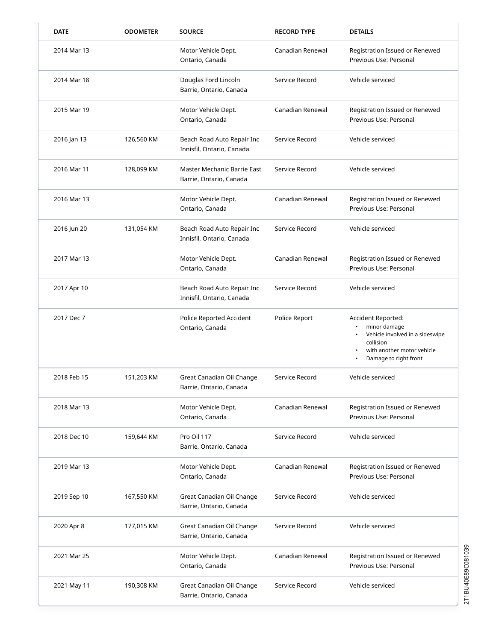| <b>DATE</b> | <b>ODOMETER</b> | <b>SOURCE</b>                                           | <b>RECORD TYPE</b> | <b>DETAILS</b>                                                                                                                            |
|-------------|-----------------|---------------------------------------------------------|--------------------|-------------------------------------------------------------------------------------------------------------------------------------------|
| 2014 Mar 13 |                 | Motor Vehicle Dept.<br>Ontario, Canada                  | Canadian Renewal   | Registration Issued or Renewed<br>Previous Use: Personal                                                                                  |
| 2014 Mar 18 |                 | Douglas Ford Lincoln<br>Barrie, Ontario, Canada         | Service Record     | Vehicle serviced                                                                                                                          |
| 2015 Mar 19 |                 | Motor Vehicle Dept.<br>Ontario, Canada                  | Canadian Renewal   | Registration Issued or Renewed<br>Previous Use: Personal                                                                                  |
| 2016 Jan 13 | 126,560 KM      | Beach Road Auto Repair Inc<br>Innisfil, Ontario, Canada | Service Record     | Vehicle serviced                                                                                                                          |
| 2016 Mar 11 | 128,099 KM      | Master Mechanic Barrie East<br>Barrie, Ontario, Canada  | Service Record     | Vehicle serviced                                                                                                                          |
| 2016 Mar 13 |                 | Motor Vehicle Dept.<br>Ontario, Canada                  | Canadian Renewal   | Registration Issued or Renewed<br>Previous Use: Personal                                                                                  |
| 2016 Jun 20 | 131,054 KM      | Beach Road Auto Repair Inc<br>Innisfil, Ontario, Canada | Service Record     | Vehicle serviced                                                                                                                          |
| 2017 Mar 13 |                 | Motor Vehicle Dept.<br>Ontario, Canada                  | Canadian Renewal   | Registration Issued or Renewed<br>Previous Use: Personal                                                                                  |
| 2017 Apr 10 |                 | Beach Road Auto Repair Inc<br>Innisfil, Ontario, Canada | Service Record     | Vehicle serviced                                                                                                                          |
| 2017 Dec 7  |                 | Police Reported Accident<br>Ontario, Canada             | Police Report      | Accident Reported:<br>minor damage<br>Vehicle involved in a sideswipe<br>collision<br>with another motor vehicle<br>Damage to right front |
| 2018 Feb 15 | 151,203 KM      | Great Canadian Oil Change<br>Barrie, Ontario, Canada    | Service Record     | Vehicle serviced                                                                                                                          |
| 2018 Mar 13 |                 | Motor Vehicle Dept.<br>Ontario, Canada                  | Canadian Renewal   | Registration Issued or Renewed<br>Previous Use: Personal                                                                                  |
| 2018 Dec 10 | 159,644 KM      | Pro Oil 117<br>Barrie, Ontario, Canada                  | Service Record     | Vehicle serviced                                                                                                                          |
| 2019 Mar 13 |                 | Motor Vehicle Dept.<br>Ontario, Canada                  | Canadian Renewal   | Registration Issued or Renewed<br>Previous Use: Personal                                                                                  |
| 2019 Sep 10 | 167,550 KM      | Great Canadian Oil Change<br>Barrie, Ontario, Canada    | Service Record     | Vehicle serviced                                                                                                                          |
| 2020 Apr 8  | 177,015 KM      | Great Canadian Oil Change<br>Barrie, Ontario, Canada    | Service Record     | Vehicle serviced                                                                                                                          |
| 2021 Mar 25 |                 | Motor Vehicle Dept.<br>Ontario, Canada                  | Canadian Renewal   | Registration Issued or Renewed<br>Previous Use: Personal                                                                                  |
| 2021 May 11 | 190,308 KM      | Great Canadian Oil Change<br>Barrie, Ontario, Canada    | Service Record     | Vehicle serviced                                                                                                                          |